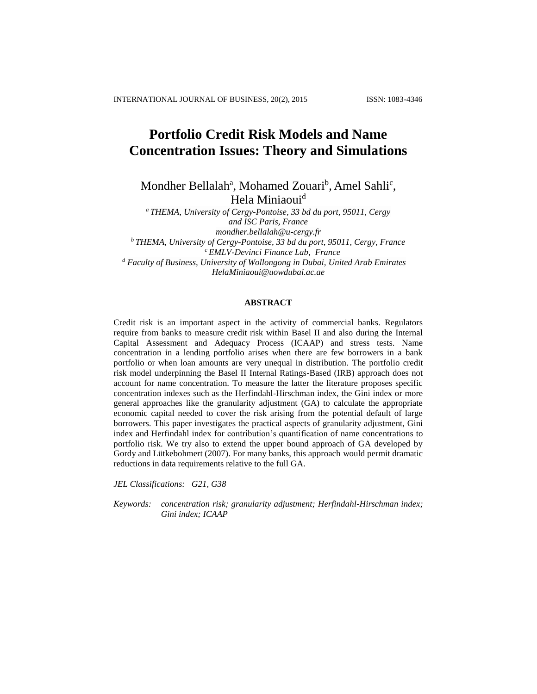# **Portfolio Credit Risk Models and Name Concentration Issues: Theory and Simulations**

Mondher Bellalah<sup>a</sup>, Mohamed Zouari<sup>b</sup>, Amel Sahli<sup>c</sup>, Hela Miniaoui<sup>d</sup>

*<sup>a</sup> THEMA, University of Cergy-Pontoise, 33 bd du port, 95011, Cergy and ISC Paris, France [mondher.bellalah@u-cergy.fr](mailto:mondher.bellalah@u-cergy.fr) <sup>b</sup> THEMA, University of Cergy-Pontoise, 33 bd du port, 95011, Cergy, France <sup>c</sup> EMLV-Devinci Finance Lab, France <sup>d</sup> Faculty of Business, University of Wollongong in Dubai, United Arab Emirates [HelaMiniaoui@uowdubai.ac.ae](mailto:HelaMiniaoui@uowdubai.ac.ae)*

## **ABSTRACT**

Credit risk is an important aspect in the activity of commercial banks. Regulators require from banks to measure credit risk within Basel II and also during the Internal Capital Assessment and Adequacy Process (ICAAP) and stress tests. Name concentration in a lending portfolio arises when there are few borrowers in a bank portfolio or when loan amounts are very unequal in distribution. The portfolio credit risk model underpinning the Basel II Internal Ratings-Based (IRB) approach does not account for name concentration. To measure the latter the literature proposes specific concentration indexes such as the Herfindahl-Hirschman index, the Gini index or more general approaches like the granularity adjustment (GA) to calculate the appropriate economic capital needed to cover the risk arising from the potential default of large borrowers. This paper investigates the practical aspects of granularity adjustment, Gini index and Herfindahl index for contribution's quantification of name concentrations to portfolio risk. We try also to extend the upper bound approach of GA developed by Gordy and Lütkebohmert (2007). For many banks, this approach would permit dramatic reductions in data requirements relative to the full GA.

*JEL Classifications: G21, G38*

*Keywords: concentration risk; granularity adjustment; Herfindahl-Hirschman index; Gini index; ICAAP*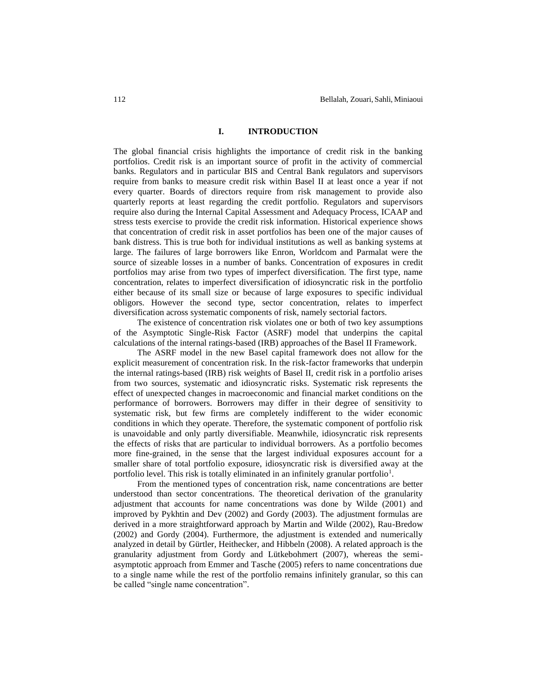## **I. INTRODUCTION**

The global financial crisis highlights the importance of credit risk in the banking portfolios. Credit risk is an important source of profit in the activity of commercial banks. Regulators and in particular BIS and Central Bank regulators and supervisors require from banks to measure credit risk within Basel II at least once a year if not every quarter. Boards of directors require from risk management to provide also quarterly reports at least regarding the credit portfolio. Regulators and supervisors require also during the Internal Capital Assessment and Adequacy Process, ICAAP and stress tests exercise to provide the credit risk information. Historical experience shows that concentration of credit risk in asset portfolios has been one of the major causes of bank distress. This is true both for individual institutions as well as banking systems at large. The failures of large borrowers like Enron, Worldcom and Parmalat were the source of sizeable losses in a number of banks. Concentration of exposures in credit portfolios may arise from two types of imperfect diversification. The first type, name concentration, relates to imperfect diversification of idiosyncratic risk in the portfolio either because of its small size or because of large exposures to specific individual obligors. However the second type, sector concentration, relates to imperfect diversification across systematic components of risk, namely sectorial factors.

The existence of concentration risk violates one or both of two key assumptions of the Asymptotic Single-Risk Factor (ASRF) model that underpins the capital calculations of the internal ratings-based (IRB) approaches of the Basel II Framework.

The ASRF model in the new Basel capital framework does not allow for the explicit measurement of concentration risk. In the risk-factor frameworks that underpin the internal ratings-based (IRB) risk weights of Basel II, credit risk in a portfolio arises from two sources, systematic and idiosyncratic risks. Systematic risk represents the effect of unexpected changes in macroeconomic and financial market conditions on the performance of borrowers. Borrowers may differ in their degree of sensitivity to systematic risk, but few firms are completely indifferent to the wider economic conditions in which they operate. Therefore, the systematic component of portfolio risk is unavoidable and only partly diversifiable. Meanwhile, idiosyncratic risk represents the effects of risks that are particular to individual borrowers. As a portfolio becomes more fine-grained, in the sense that the largest individual exposures account for a smaller share of total portfolio exposure, idiosyncratic risk is diversified away at the portfolio level. This risk is totally eliminated in an infinitely granular portfolio<sup>1</sup>.

From the mentioned types of concentration risk, name concentrations are better understood than sector concentrations. The theoretical derivation of the granularity adjustment that accounts for name concentrations was done by Wilde (2001) and improved by Pykhtin and Dev (2002) and Gordy (2003). The adjustment formulas are derived in a more straightforward approach by Martin and Wilde (2002), Rau-Bredow (2002) and Gordy (2004). Furthermore, the adjustment is extended and numerically analyzed in detail by Gürtler, Heithecker, and Hibbeln (2008). A related approach is the granularity adjustment from Gordy and Lütkebohmert (2007), whereas the semiasymptotic approach from Emmer and Tasche (2005) refers to name concentrations due to a single name while the rest of the portfolio remains infinitely granular, so this can be called "single name concentration".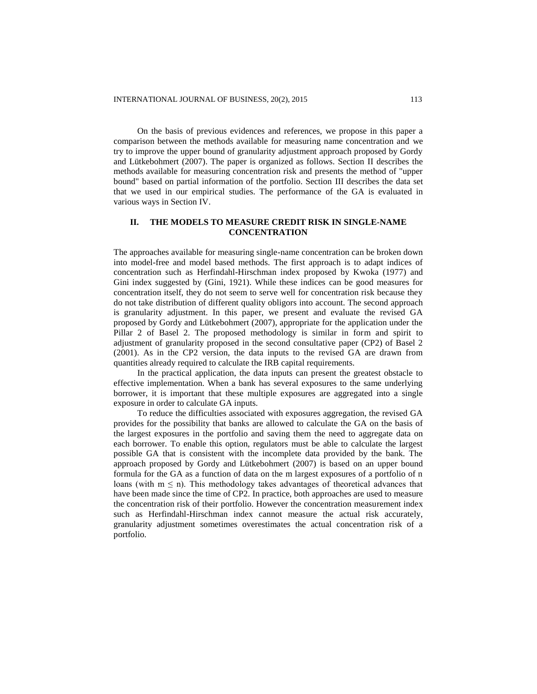On the basis of previous evidences and references, we propose in this paper a comparison between the methods available for measuring name concentration and we try to improve the upper bound of granularity adjustment approach proposed by Gordy and Lütkebohmert (2007). The paper is organized as follows. Section II describes the methods available for measuring concentration risk and presents the method of "upper bound" based on partial information of the portfolio. Section III describes the data set that we used in our empirical studies. The performance of the GA is evaluated in various ways in Section IV.

# **II. THE MODELS TO MEASURE CREDIT RISK IN SINGLE-NAME CONCENTRATION**

The approaches available for measuring single-name concentration can be broken down into model-free and model based methods. The first approach is to adapt indices of concentration such as Herfindahl-Hirschman index proposed by Kwoka (1977) and Gini index suggested by (Gini, 1921). While these indices can be good measures for concentration itself, they do not seem to serve well for concentration risk because they do not take distribution of different quality obligors into account. The second approach is granularity adjustment. In this paper, we present and evaluate the revised GA proposed by Gordy and Lütkebohmert (2007), appropriate for the application under the Pillar 2 of Basel 2. The proposed methodology is similar in form and spirit to adjustment of granularity proposed in the second consultative paper (CP2) of Basel 2 (2001). As in the CP2 version, the data inputs to the revised GA are drawn from quantities already required to calculate the IRB capital requirements.

In the practical application, the data inputs can present the greatest obstacle to effective implementation. When a bank has several exposures to the same underlying borrower, it is important that these multiple exposures are aggregated into a single exposure in order to calculate GA inputs.

To reduce the difficulties associated with exposures aggregation, the revised GA provides for the possibility that banks are allowed to calculate the GA on the basis of the largest exposures in the portfolio and saving them the need to aggregate data on each borrower. To enable this option, regulators must be able to calculate the largest possible GA that is consistent with the incomplete data provided by the bank. The approach proposed by Gordy and Lütkebohmert (2007) is based on an upper bound formula for the GA as a function of data on the m largest exposures of a portfolio of n loans (with  $m \le n$ ). This methodology takes advantages of theoretical advances that have been made since the time of CP2. In practice, both approaches are used to measure the concentration risk of their portfolio. However the concentration measurement index such as Herfindahl-Hirschman index cannot measure the actual risk accurately, granularity adjustment sometimes overestimates the actual concentration risk of a portfolio.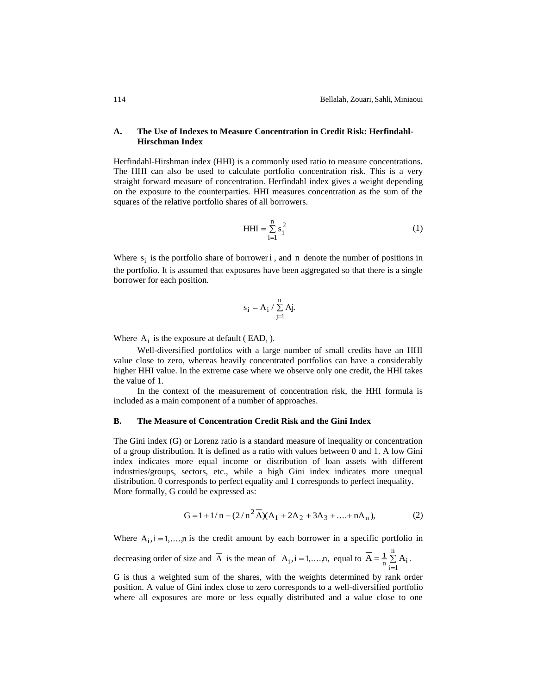## **A. The Use of Indexes to Measure Concentration in Credit Risk: Herfindahl-Hirschman Index**

Herfindahl-Hirshman index (HHI) is a commonly used ratio to measure concentrations. The HHI can also be used to calculate portfolio concentration risk. This is a very straight forward measure of concentration. Herfindahl index gives a weight depending on the exposure to the counterparties. HHI measures concentration as the sum of the squares of the relative portfolio shares of all borrowers.

$$
HHI = \sum_{i=1}^{n} s_i^2
$$
 (1)

Where  $s_i$  is the portfolio share of borrower i, and n denote the number of positions in the portfolio. It is assumed that exposures have been aggregated so that there is a single borrower for each position.

$$
s_i = A_i \mathbin{/} \sum\limits_{j=1}^n Aj.
$$

Where  $A_i$  is the exposure at default (EAD<sub>i</sub>).

Well-diversified portfolios with a large number of small credits have an HHI value close to zero, whereas heavily concentrated portfolios can have a considerably higher HHI value. In the extreme case where we observe only one credit, the HHI takes the value of 1.

In the context of the measurement of concentration risk, the HHI formula is included as a main component of a number of approaches.

#### **B. The Measure of Concentration Credit Risk and the Gini Index**

The Gini index (G) or Lorenz ratio is a standard measure of inequality or concentration of a group distribution. It is defined as a ratio with values between 0 and 1. A low Gini index indicates more equal income or distribution of loan assets with different industries/groups, sectors, etc., while a high Gini index indicates more unequal distribution. 0 corresponds to perfect equality and 1 corresponds to perfect inequality. More formally, G could be expressed as:

$$
G = 1 + 1/n - (2/n^2 \overline{A})(A_1 + 2A_2 + 3A_3 + .... + nA_n),
$$
 (2)

Where  $A_i$ ,  $i = 1,...,n$  is the credit amount by each borrower in a specific portfolio in

decreasing order of size and A is the mean of  $A_i$ , i = 1,...,n, equal to  $A = \frac{1}{n} \sum A_i$ n  $\overline{A} = \frac{1}{n} \sum_{i=1}^{n} A_i$ .

G is thus a weighted sum of the shares, with the weights determined by rank order position. A value of Gini index close to zero corresponds to a well-diversified portfolio where all exposures are more or less equally distributed and a value close to one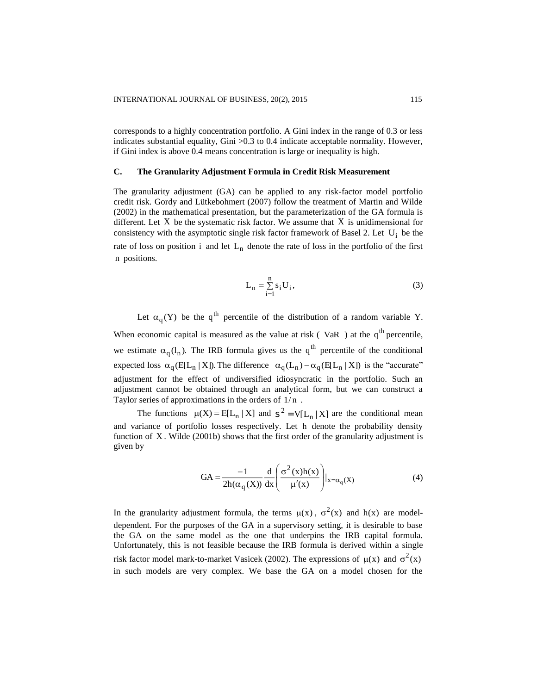corresponds to a highly concentration portfolio. A Gini index in the range of 0.3 or less indicates substantial equality, Gini  $>0.3$  to 0.4 indicate acceptable normality. However, if Gini index is above 0.4 means concentration is large or inequality is high.

## **C. The Granularity Adjustment Formula in Credit Risk Measurement**

The granularity adjustment (GA) can be applied to any risk-factor model portfolio credit risk. Gordy and Lütkebohmert (2007) follow the treatment of Martin and Wilde (2002) in the mathematical presentation, but the parameterization of the GA formula is different. Let X be the systematic risk factor. We assume that X is unidimensional for consistency with the asymptotic single risk factor framework of Basel 2. Let  $U_i$  be the rate of loss on position i and let  $L_n$  denote the rate of loss in the portfolio of the first n positions.

$$
L_n = \sum_{i=1}^{n} s_i U_i,
$$
 (3)

Let  $\alpha_q(Y)$  be the  $q^{th}$  percentile of the distribution of a random variable Y. When economic capital is measured as the value at risk (VaR) at the  $q<sup>th</sup>$  percentile, we estimate  $\alpha_q(l_n)$ . The IRB formula gives us the  $q^{th}$  percentile of the conditional expected loss  $\alpha_q(E[L_n | X])$ . The difference  $\alpha_q(L_n) - \alpha_q(E[L_n | X])$  is the "accurate" adjustment for the effect of undiversified idiosyncratic in the portfolio. Such an adjustment cannot be obtained through an analytical form, but we can construct a Taylor series of approximations in the orders of  $1/n$ .

The functions  $\mu(X) = E[L_n | X]$  and  $S^2 = V[L_n | X]$  are the conditional mean and variance of portfolio losses respectively. Let h denote the probability density function of X. Wilde (2001b) shows that the first order of the granularity adjustment is given by

$$
GA = \frac{-1}{2h(\alpha_q(X))} \frac{d}{dx} \left( \frac{\sigma^2(x)h(x)}{\mu'(x)} \right) |_{x = \alpha_q(X)}
$$
(4)

In the granularity adjustment formula, the terms  $\mu(x)$ ,  $\sigma^2(x)$  and  $h(x)$  are modeldependent. For the purposes of the GA in a supervisory setting, it is desirable to base the GA on the same model as the one that underpins the IRB capital formula. Unfortunately, this is not feasible because the IRB formula is derived within a single risk factor model mark-to-market Vasicek (2002). The expressions of  $\mu(x)$  and  $\sigma^2(x)$ in such models are very complex. We base the GA on a model chosen for the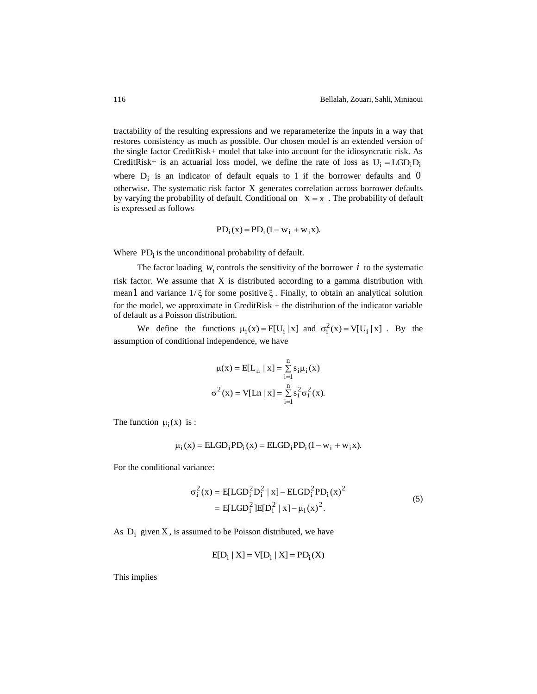tractability of the resulting expressions and we reparameterize the inputs in a way that restores consistency as much as possible. Our chosen model is an extended version of the single factor CreditRisk+ model that take into account for the idiosyncratic risk. As CreditRisk+ is an actuarial loss model, we define the rate of loss as  $U_i = LGD_iD_i$ where  $D_i$  is an indicator of default equals to 1 if the borrower defaults and 0 otherwise. The systematic risk factor X generates correlation across borrower defaults by varying the probability of default. Conditional on  $X = x$ . The probability of default is expressed as follows

$$
PD_i(x) = PD_i(1 - w_i + w_i x).
$$

Where  $PD_i$  is the unconditional probability of default.

The factor loading  $W_i$  controls the sensitivity of the borrower  $i$  to the systematic risk factor. We assume that X is distributed according to a gamma distribution with mean 1 and variance  $1/\xi$  for some positive  $\xi$ . Finally, to obtain an analytical solution for the model, we approximate in CreditRisk + the distribution of the indicator variable of default as a Poisson distribution.

We define the functions  $\mu_i(x) = E[U_i | x]$  and  $\sigma_i^2(x) = V[U_i | x]$ . By the assumption of conditional independence, we have

$$
\mu(x) = E[L_n | x] = \sum_{i=1}^{n} s_i \mu_i(x)
$$

$$
\sigma^2(x) = V[Ln | x] = \sum_{i=1}^{n} s_i^2 \sigma_i^2(x).
$$

The function  $\mu_i(x)$  is :

$$
\mu_i(x) = ELGD_i PD_i(x) = ELGD_i PD_i(1 - w_i + w_i x).
$$

For the conditional variance:

$$
\sigma_i^2(x) = E[LGD_i^2 D_i^2 | x] - ELGD_i^2 PD_i(x)^2
$$
  
= E[LGD\_i^2] E[D\_i^2 | x] - \mu\_i(x)^2. (5)

As  $D_i$  given X, is assumed to be Poisson distributed, we have

$$
E[D_i | X] = V[D_i | X] = PD_i(X)
$$

This implies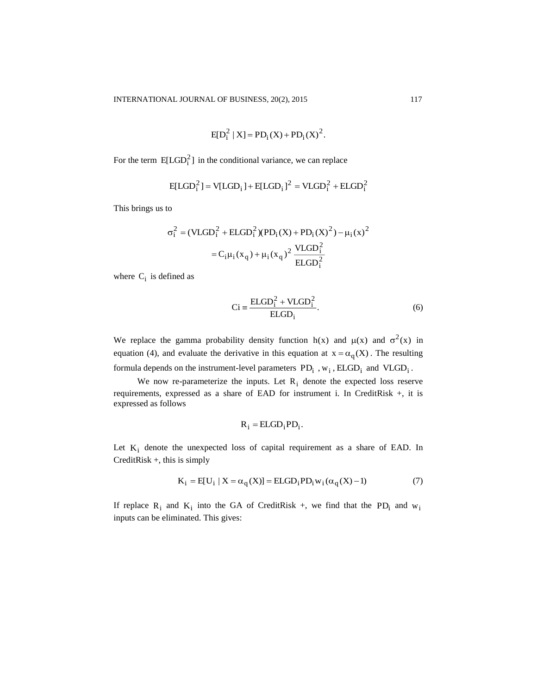$$
E[D_i^2 | X] = PD_i(X) + PD_i(X)^2
$$
.

For the term  $E[{\rm LGD}_i^2]$  in the conditional variance, we can replace

$$
E[LGD_i^2] = V[LGD_i] + E[LGD_i]^2 = VLGD_i^2 + ELGD_i^2
$$

This brings us to

$$
\sigma_i^2 = (VLGD_i^2 + ELGD_i^2)(PD_i(X) + PD_i(X)^2) - \mu_i(x)^2
$$
  
=  $C_i\mu_i(x_q) + \mu_i(x_q)^2 \frac{VLGD_i^2}{ELGD_i^2}$ 

where  $C_i$  is defined as

$$
Ci \equiv \frac{ELGD_i^2 + VLGD_i^2}{ELGD_i}.
$$
 (6)

We replace the gamma probability density function  $h(x)$  and  $\mu(x)$  and  $\sigma^2(x)$  in equation (4), and evaluate the derivative in this equation at  $x = \alpha_q(X)$ . The resulting formula depends on the instrument-level parameters  $PD_i$ ,  $w_i$ ,  $ELGD_i$  and  $VLGD_i$ .

We now re-parameterize the inputs. Let  $R_i$  denote the expected loss reserve requirements, expressed as a share of EAD for instrument i. In CreditRisk +, it is expressed as follows

$$
R_i = ELGD_i PD_i
$$
.

Let  $K_i$  denote the unexpected loss of capital requirement as a share of EAD. In CreditRisk +, this is simply

$$
K_i = E[U_i | X = \alpha_q(X)] = ELGD_i PD_i w_i (\alpha_q(X) - 1)
$$
\n<sup>(7)</sup>

If replace  $R_i$  and  $K_i$  into the GA of CreditRisk +, we find that the PD<sub>i</sub> and  $w_i$ inputs can be eliminated. This gives: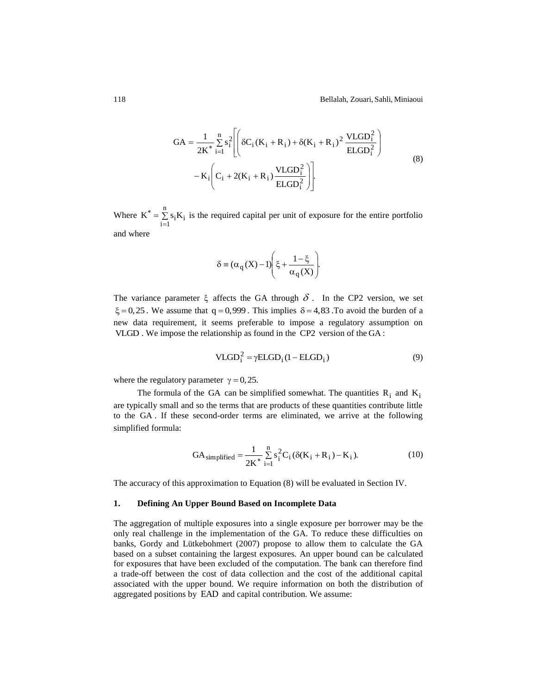$$
GA = \frac{1}{2K^*} \sum_{i=1}^{n} s_i^2 \left[ \left( \delta C_i (K_i + R_i) + \delta (K_i + R_i)^2 \frac{VLGD_i^2}{ELGD_i^2} \right) - K_i \left( C_i + 2(K_i + R_i) \frac{VLGD_i^2}{ELGD_i^2} \right) \right]
$$
(8)

Where  $K^* = \sum s_i K_i$ n  $K^* = \sum_{i=1}^n s_i K$  $i^* = \sum s_i K_i$  is the required capital per unit of exposure for the entire portfolio and where

$$
\delta \equiv (\alpha_q(X) - 1) \Biggl( \xi + \frac{1 - \xi}{\alpha_q(X)} \Biggr).
$$

The variance parameter  $\xi$  affects the GA through  $\delta$ . In the CP2 version, we set  $\xi = 0,25$ . We assume that  $q = 0,999$ . This implies  $\delta = 4,83$ . To avoid the burden of a new data requirement, it seems preferable to impose a regulatory assumption on VLGD. We impose the relationship as found in the CP2 version of the GA:

$$
VLGD_i^2 = \gamma ELGD_i (1 - ELGD_i)
$$
\n(9)

where the regulatory parameter  $\gamma = 0, 25$ .

The formula of the GA can be simplified somewhat. The quantities  $R_i$  and  $K_i$ are typically small and so the terms that are products of these quantities contribute little to the GA . If these second-order terms are eliminated, we arrive at the following simplified formula:

$$
GA_{simplified} = \frac{1}{2K^*} \sum_{i=1}^{n} s_i^2 C_i (\delta(K_i + R_i) - K_i).
$$
 (10)

The accuracy of this approximation to Equation (8) will be evaluated in Section IV.

## **1. Defining An Upper Bound Based on Incomplete Data**

The aggregation of multiple exposures into a single exposure per borrower may be the only real challenge in the implementation of the GA. To reduce these difficulties on banks, Gordy and Lütkebohmert (2007) propose to allow them to calculate the GA based on a subset containing the largest exposures. An upper bound can be calculated for exposures that have been excluded of the computation. The bank can therefore find a trade-off between the cost of data collection and the cost of the additional capital associated with the upper bound. We require information on both the distribution of aggregated positions by EAD and capital contribution. We assume: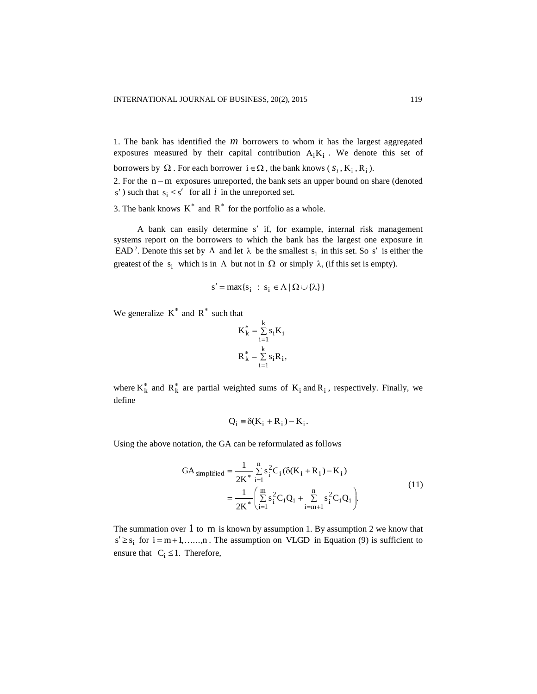1. The bank has identified the  $m$  borrowers to whom it has the largest aggregated exposures measured by their capital contribution  $A_iK_i$ . We denote this set of borrowers by  $\Omega$ . For each borrower  $i \in \Omega$ , the bank knows ( $s_i$ , K<sub>i</sub>, R<sub>i</sub>).

2. For the  $n-m$  exposures unreported, the bank sets an upper bound on share (denoted s') such that  $s_i \leq s'$  for all i in the unreported set.

3. The bank knows  $K^*$  and  $R^*$  for the portfolio as a whole.

A bank can easily determine s' if, for example, internal risk management systems report on the borrowers to which the bank has the largest one exposure in EAD<sup>2</sup>. Denote this set by  $\Lambda$  and let  $\lambda$  be the smallest  $s_i$  in this set. So s' is either the greatest of the  $s_i$  which is in  $\Lambda$  but not in  $\Omega$  or simply  $\lambda$ , (if this set is empty).

$$
s' = \max\{s_i : s_i \in \Lambda \,|\, \Omega \cup \{\lambda\}\}\
$$

We generalize  $K^*$  and  $R^*$  such that

$$
K_k^* = \sum_{i=1}^k s_i K_i
$$
  

$$
R_k^* = \sum_{i=1}^k s_i R_i,
$$

where  $K_k^*$  and  $R_k^*$  are partial weighted sums of  $K_i$  and  $R_i$ , respectively. Finally, we define

$$
Q_i \equiv \delta(K_i + R_i) - K_i.
$$

Using the above notation, the GA can be reformulated as follows

$$
GA_{simplified} = \frac{1}{2K^*} \sum_{i=1}^{n} s_i^2 C_i (\delta(K_i + R_i) - K_i)
$$
  
= 
$$
\frac{1}{2K^*} \left( \sum_{i=1}^{m} s_i^2 C_i Q_i + \sum_{i=m+1}^{n} s_i^2 C_i Q_i \right).
$$
 (11)

The summation over 1 to m is known by assumption 1. By assumption 2 we know that  $s' \geq s_i$  for  $i = m+1, \ldots, n$ . The assumption on VLGD in Equation (9) is sufficient to ensure that  $C_i \leq 1$ . Therefore,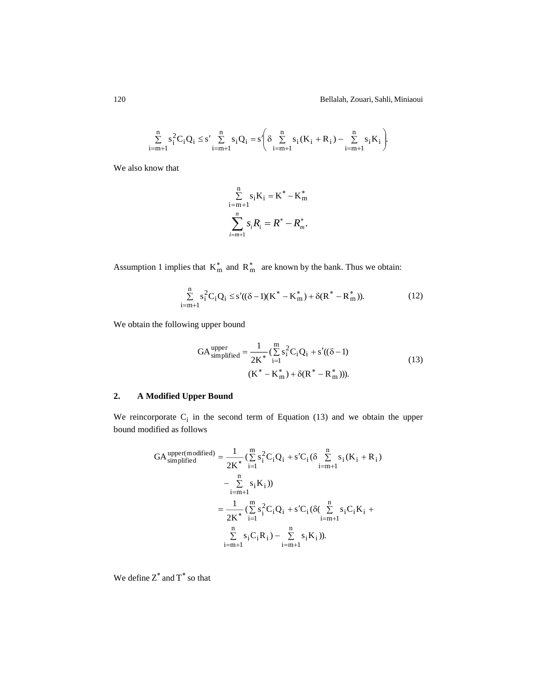120 Bellalah, Zouari, Sahli, Miniaoui

$$
\sum_{i=m+1}^{n} s_i^2 C_i Q_i \leq s' \sum_{i=m+1}^{n} s_i Q_i = s' \Bigg( \delta \sum_{i=m+1}^{n} s_i \left( K_i + R_i \right) - \sum_{i=m+1}^{n} s_i K_i \Bigg).
$$

We also know that

$$
\sum_{i=m+1}^{n} s_i K_i = K^* - K_m^*
$$
  

$$
\sum_{i=m+1}^{n} s_i R_i = R^* - R_m^*.
$$

Assumption 1 implies that  $K_m^*$  and  $R_m^*$  are known by the bank. Thus we obtain:

<sup>s</sup> C Q <sup>s</sup> (( 1)(K K<sup>m</sup> ) (R R<sup>m</sup> )). <sup>i</sup> <sup>i</sup> 2 i n i <sup>m</sup> 1 (12)

We obtain the following upper bound

$$
GA_{simplified}^{upper} = \frac{1}{2K^*} (\sum_{i=1}^{m} s_i^2 C_i Q_i + s'((\delta - 1)
$$
  

$$
(K^* - K_m^*) + \delta(R^* - R_m^*))).
$$
 (13)

# **2. A Modified Upper Bound**

We reincorporate  $C_i$  in the second term of Equation (13) and we obtain the upper bound modified as follows

$$
GA_{\text{simplified}}^{\text{upper(modified)}} = \frac{1}{2K^*} (\sum_{i=1}^{m} s_i^2 C_i Q_i + s' C_i (\delta \sum_{i=m+1}^{n} s_i (K_i + R_i) - \sum_{i=m+1}^{n} s_i K_i))
$$
  

$$
= \frac{1}{2K^*} (\sum_{i=1}^{m} s_i^2 C_i Q_i + s' C_i (\delta (\sum_{i=m+1}^{n} s_i C_i K_i + \sum_{i=m+1}^{n} s_i C_i R_i)).
$$

We define  $\overline{Z}^*$  and  $\overline{T}^*$  so that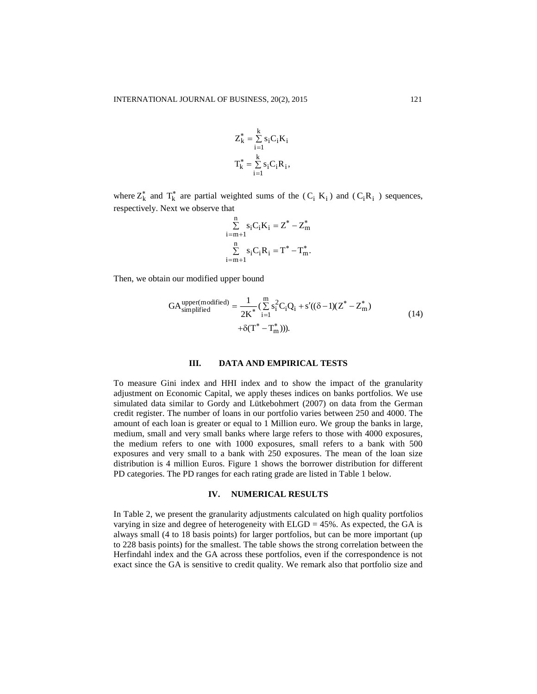$$
Z_{k}^{*} = \sum_{i=1}^{k} s_{i} C_{i} K_{i}
$$

$$
T_{k}^{*} = \sum_{i=1}^{k} s_{i} C_{i} R_{i},
$$

where  $Z_k^*$  and  $T_k^*$  are partial weighted sums of the  $(C_i K_i)$  and  $(C_i R_i)$  sequences, respectively. Next we observe that

$$
\sum_{i=m+1}^{n} s_i C_i K_i = Z^* - Z_m^*
$$
  

$$
\sum_{i=m+1}^{n} s_i C_i R_i = T^* - T_m^*.
$$

Then, we obtain our modified upper bound

$$
GA_{simplified}^{upper(modified)} = \frac{1}{2K^*} (\sum_{i=1}^{m} s_i^2 C_i Q_i + s'((\delta - 1)(Z^* - Z_m^*)) + \delta(T^* - T_m^*))).
$$
\n(14)

#### **III. DATA AND EMPIRICAL TESTS**

To measure Gini index and HHI index and to show the impact of the granularity adjustment on Economic Capital, we apply theses indices on banks portfolios. We use simulated data similar to Gordy and Lütkebohmert (2007) on data from the German credit register. The number of loans in our portfolio varies between 250 and 4000. The amount of each loan is greater or equal to 1 Million euro. We group the banks in large, medium, small and very small banks where large refers to those with 4000 exposures, the medium refers to one with 1000 exposures, small refers to a bank with 500 exposures and very small to a bank with 250 exposures. The mean of the loan size distribution is 4 million Euros. Figure 1 shows the borrower distribution for different PD categories. The PD ranges for each rating grade are listed in Table 1 below.

## **IV. NUMERICAL RESULTS**

In Table 2, we present the granularity adjustments calculated on high quality portfolios varying in size and degree of heterogeneity with ELGD = 45%. As expected, the GA is always small (4 to 18 basis points) for larger portfolios, but can be more important (up to 228 basis points) for the smallest. The table shows the strong correlation between the Herfindahl index and the GA across these portfolios, even if the correspondence is not exact since the GA is sensitive to credit quality. We remark also that portfolio size and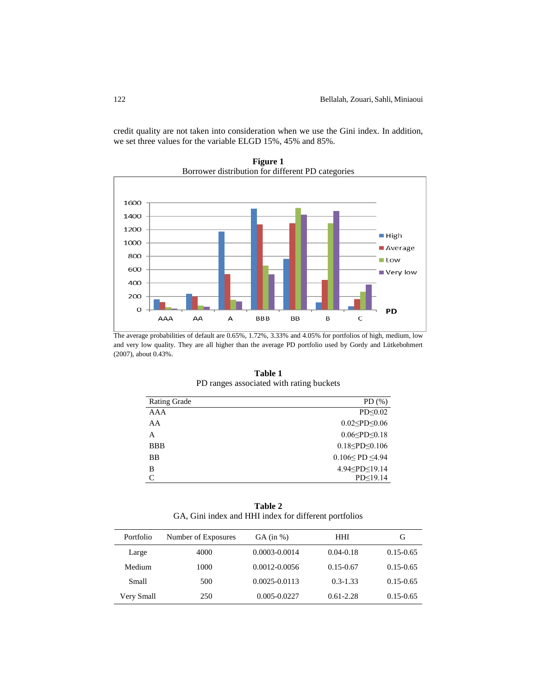credit quality are not taken into consideration when we use the Gini index. In addition, we set three values for the variable ELGD 15%, 45% and 85%.



**Figure 1** Borrower distribution for different PD categories

The average probabilities of default are 0.65%, 1.72%, 3.33% and 4.05% for portfolios of high, medium, low and very low quality. They are all higher than the average PD portfolio used by Gordy and Lütkebohmert (2007), about 0.43%.

| <b>Rating Grade</b> | $PD(\% )$                            |
|---------------------|--------------------------------------|
| AAA                 | PD<0.02                              |
| AA                  | $0.02$ <pd 0.06<="" <="" td=""></pd> |
| A                   | 0.06 < P D < 0.18                    |
| <b>BBB</b>          | $0.18 \leq P D \leq 0.106$           |
| <b>BB</b>           | $0.106 <$ PD $\leq 4.94$             |
| В                   | 4.94 <pd<19.14< td=""></pd<19.14<>   |
| C                   | PD<19.14                             |

**Table 1** PD ranges associated with rating buckets

**Table 2** GA, Gini index and HHI index for different portfolios

| Portfolio  | Number of Exposures | $GA$ (in %)       | HHI           | G             |
|------------|---------------------|-------------------|---------------|---------------|
| Large      | 4000                | 0.0003-0.0014     | $0.04 - 0.18$ | $0.15 - 0.65$ |
| Medium     | 1000                | 0.0012-0.0056     | $0.15 - 0.67$ | $0.15 - 0.65$ |
| Small      | 500                 | $0.0025 - 0.0113$ | $0.3 - 1.33$  | $0.15 - 0.65$ |
| Very Small | 250                 | 0.005-0.0227      | $0.61 - 2.28$ | $0.15 - 0.65$ |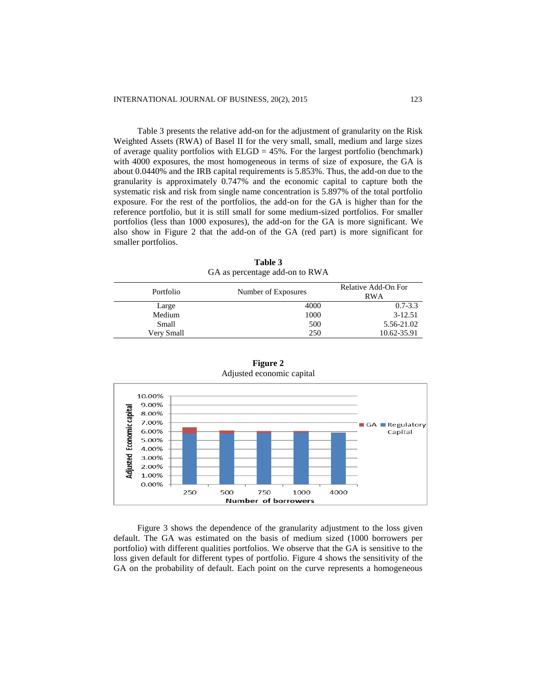Table 3 presents the relative add-on for the adjustment of granularity on the Risk Weighted Assets (RWA) of Basel II for the very small, small, medium and large sizes of average quality portfolios with  $ELGD = 45\%$ . For the largest portfolio (benchmark) with 4000 exposures, the most homogeneous in terms of size of exposure, the GA is about 0.0440% and the IRB capital requirements is 5.853%. Thus, the add-on due to the granularity is approximately 0.747% and the economic capital to capture both the systematic risk and risk from single name concentration is 5.897% of the total portfolio exposure. For the rest of the portfolios, the add-on for the GA is higher than for the reference portfolio, but it is still small for some medium-sized portfolios. For smaller portfolios (less than 1000 exposures), the add-on for the GA is more significant. We also show in Figure 2 that the add-on of the GA (red part) is more significant for smaller portfolios.

**Table 3** GA as percentage add-on to RWA

| Portfolio  | Number of Exposures | Relative Add-On For<br><b>RWA</b> |  |
|------------|---------------------|-----------------------------------|--|
| Large      | 4000                | $0.7 - 3.3$                       |  |
| Medium     | 1000                | 3-12.51                           |  |
| Small      | 500                 | 5.56-21.02                        |  |
| Verv Small | 250                 | 10.62-35.91                       |  |



**Figure 2** Adjusted economic capital

Figure 3 shows the dependence of the granularity adjustment to the loss given default. The GA was estimated on the basis of medium sized (1000 borrowers per portfolio) with different qualities portfolios. We observe that the GA is sensitive to the loss given default for different types of portfolio. Figure 4 shows the sensitivity of the GA on the probability of default. Each point on the curve represents a homogeneous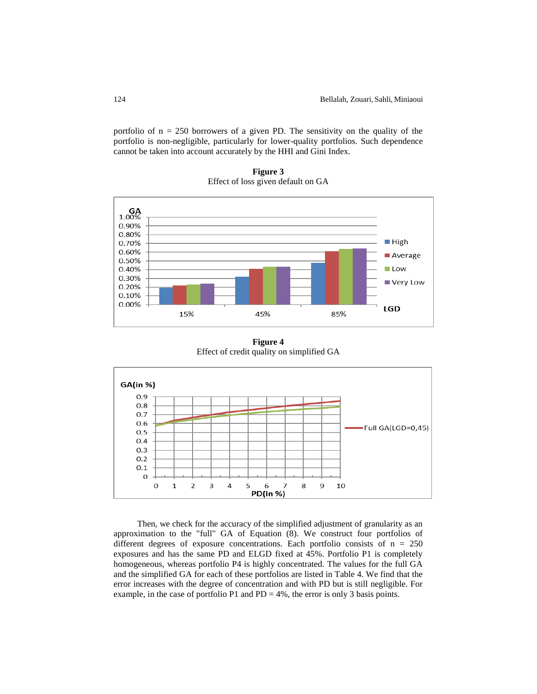portfolio of  $n = 250$  borrowers of a given PD. The sensitivity on the quality of the portfolio is non-negligible, particularly for lower-quality portfolios. Such dependence cannot be taken into account accurately by the HHI and Gini Index.

**Figure 3** Effect of loss given default on GA



**Figure 4** Effect of credit quality on simplified GA



Then, we check for the accuracy of the simplified adjustment of granularity as an approximation to the "full" GA of Equation (8). We construct four portfolios of different degrees of exposure concentrations. Each portfolio consists of n = 250 exposures and has the same PD and ELGD fixed at 45%. Portfolio P1 is completely homogeneous, whereas portfolio P4 is highly concentrated. The values for the full GA and the simplified GA for each of these portfolios are listed in Table 4. We find that the error increases with the degree of concentration and with PD but is still negligible. For example, in the case of portfolio P1 and PD =  $4\%$ , the error is only 3 basis points.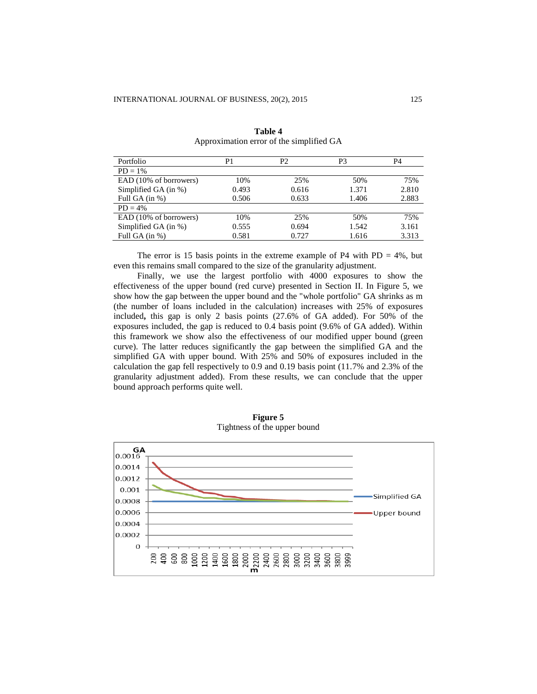| Portfolio              | P1    | P2    | P <sub>3</sub> | P4    |
|------------------------|-------|-------|----------------|-------|
| $PD = 1\%$             |       |       |                |       |
| EAD (10% of borrowers) | 10%   | 25%   | 50%            | 75%   |
| Simplified GA (in %)   | 0.493 | 0.616 | 1.371          | 2.810 |
| Full GA $(in %)$       | 0.506 | 0.633 | 1.406          | 2.883 |
| $PD = 4\%$             |       |       |                |       |
| EAD (10% of borrowers) | 10%   | 25%   | 50%            | 75%   |
| Simplified GA (in %)   | 0.555 | 0.694 | 1.542          | 3.161 |
| Full GA $(in %)$       | 0.581 | 0.727 | 1.616          | 3.313 |

**Table 4** Approximation error of the simplified GA

The error is 15 basis points in the extreme example of P4 with  $PD = 4\%$ , but even this remains small compared to the size of the granularity adjustment.

Finally, we use the largest portfolio with 4000 exposures to show the effectiveness of the upper bound (red curve) presented in Section II. In Figure 5, we show how the gap between the upper bound and the "whole portfolio" GA shrinks as m (the number of loans included in the calculation) increases with 25% of exposures included**,** this gap is only 2 basis points (27.6% of GA added). For 50% of the exposures included, the gap is reduced to 0.4 basis point (9.6% of GA added). Within this framework we show also the effectiveness of our modified upper bound (green curve). The latter reduces significantly the gap between the simplified GA and the simplified GA with upper bound. With 25% and 50% of exposures included in the calculation the gap fell respectively to 0.9 and 0.19 basis point (11.7% and 2.3% of the granularity adjustment added). From these results, we can conclude that the upper bound approach performs quite well.



**Figure 5** Tightness of the upper bound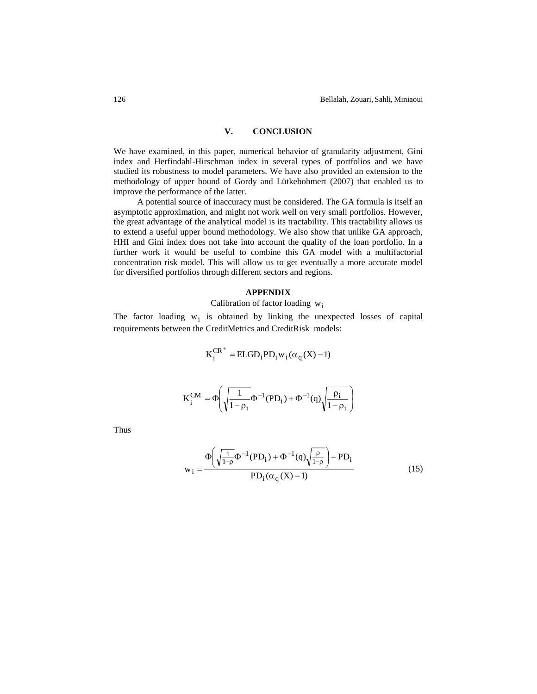# **V. CONCLUSION**

We have examined, in this paper, numerical behavior of granularity adjustment, Gini index and Herfindahl-Hirschman index in several types of portfolios and we have studied its robustness to model parameters. We have also provided an extension to the methodology of upper bound of Gordy and Lütkebohmert (2007) that enabled us to improve the performance of the latter.

A potential source of inaccuracy must be considered. The GA formula is itself an asymptotic approximation, and might not work well on very small portfolios. However, the great advantage of the analytical model is its tractability. This tractability allows us to extend a useful upper bound methodology. We also show that unlike GA approach, HHI and Gini index does not take into account the quality of the loan portfolio. In a further work it would be useful to combine this GA model with a multifactorial concentration risk model. This will allow us to get eventually a more accurate model for diversified portfolios through different sectors and regions.

#### **APPENDIX**

Calibration of factor loading  $w_i$ 

The factor loading  $w_i$  is obtained by linking the unexpected losses of capital requirements between the CreditMetrics and CreditRisk models:

$$
K_i^{CR^+} = ELGD_i PD_i w_i (\alpha_q(X) - 1)
$$

$$
K_i^{CM} = \Phi\!\!\left( \sqrt{\frac{1}{1\!-\!\rho_i}} \Phi^{-1}(PD_i) + \Phi^{-1}(q) \sqrt{\frac{\rho_i}{1\!-\!\rho_i}} \right)
$$

Thus

$$
w_{i} = \frac{\Phi\left(\sqrt{\frac{1}{1-\rho}}\Phi^{-1}(PD_{i}) + \Phi^{-1}(q)\sqrt{\frac{\rho}{1-\rho}}\right) - PD_{i}}{PD_{i}(\alpha_{q}(X) - 1)}
$$
(15)